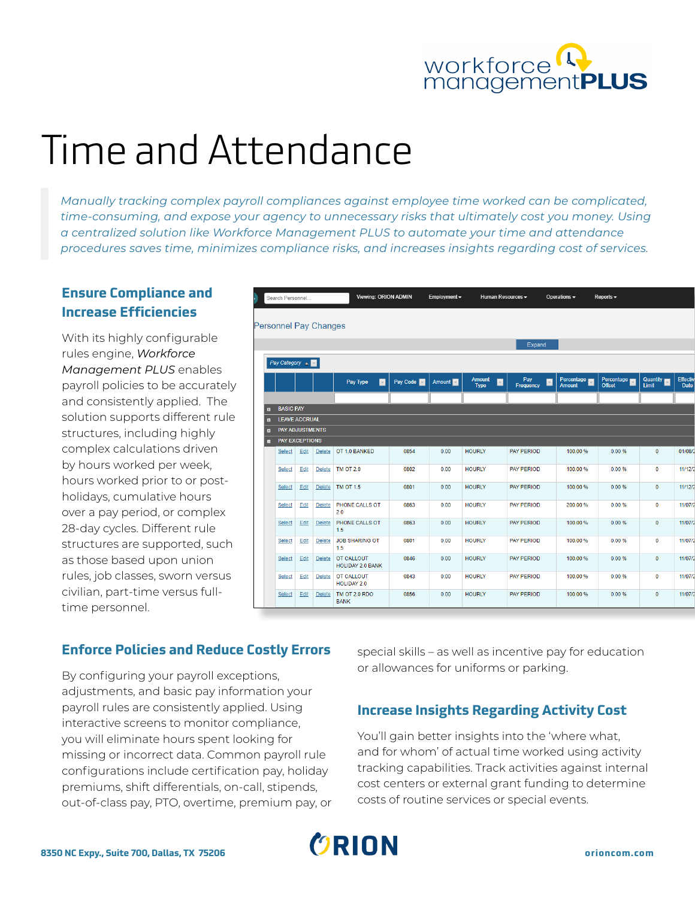

# Time and Attendance

*Manually tracking complex payroll compliances against employee time worked can be complicated, time-consuming, and expose your agency to unnecessary risks that ultimately cost you money. Using a centralized solution like Workforce Management PLUS to automate your time and attendance procedures saves time, minimizes compliance risks, and increases insights regarding cost of services.*

# **Ensure Compliance and Increase Efficiencies**

With its highly configurable rules engine, *Workforce Management PLUS* enables payroll policies to be accurately and consistently applied. The solution supports different rule structures, including highly complex calculations driven by hours worked per week, hours worked prior to or postholidays, cumulative hours over a pay period, or complex 28-day cycles. Different rule structures are supported, such as those based upon union rules, job classes, sworn versus civilian, part-time versus fulltime personnel.

|                                  | Search Personnel                               |      |                      |                                       | Viewing: ORION ADMIN |                 | Employment $\blacktriangledown$<br>Human Resources - |                             | Operations $\blacktriangledown$ | Reports $\sim$       |                   |                  |
|----------------------------------|------------------------------------------------|------|----------------------|---------------------------------------|----------------------|-----------------|------------------------------------------------------|-----------------------------|---------------------------------|----------------------|-------------------|------------------|
|                                  |                                                |      |                      |                                       |                      |                 |                                                      |                             |                                 |                      |                   |                  |
|                                  |                                                |      | ersonnel Pay Changes |                                       |                      |                 |                                                      |                             |                                 |                      |                   |                  |
|                                  |                                                |      |                      |                                       |                      |                 |                                                      | Expand                      |                                 |                      |                   |                  |
|                                  | Pay Category &                                 |      |                      |                                       |                      |                 |                                                      |                             |                                 |                      |                   |                  |
|                                  |                                                |      |                      | Pay Type<br>$\blacksquare$            | Pay Code             | Amount <b>M</b> | Amount<br>$\boxed{\mathbf{v}}$<br><b>Type</b>        | Pay<br>$\vert$<br>Frequency | Percentage<br><b>Amount</b>     | Percentage<br>Offset | Quantity<br>Limit | Effectiv<br>Date |
|                                  |                                                |      |                      |                                       |                      |                 |                                                      |                             |                                 |                      |                   |                  |
| $\blacksquare$                   | <b>BASIC PAY</b>                               |      |                      |                                       |                      |                 |                                                      |                             |                                 |                      |                   |                  |
| $\blacksquare$<br>$\blacksquare$ | <b>LEAVE ACCRUAL</b><br><b>PAY ADJUSTMENTS</b> |      |                      |                                       |                      |                 |                                                      |                             |                                 |                      |                   |                  |
| $\blacksquare$                   | PAY EXCEPTIONS                                 |      |                      |                                       |                      |                 |                                                      |                             |                                 |                      |                   |                  |
|                                  | Select                                         | Edit | <b>Delete</b>        | OT 1.0 BANKED                         | 0854                 | 0.00            | <b>HOURLY</b>                                        | <b>PAY PERIOD</b>           | 100.00 %                        | 0.00%                | $\mathbf{0}$      | 01/08/           |
|                                  | Select                                         | Edit | Delete               | <b>TM OT 2.0</b>                      | 0802                 | 0.00            | <b>HOURLY</b>                                        | <b>PAY PERIOD</b>           | 100.00 %                        | 0.00%                | $\mathbf{0}$      | 11/12/           |
|                                  | Select                                         | Edit | Delete               | <b>TM OT 1.5</b>                      | 0801                 | 0.00            | <b>HOURLY</b>                                        | <b>PAY PERIOD</b>           | 100.00 %                        | 0.00%                | $\mathbf{0}$      | 11/12            |
|                                  | Select                                         | Edit | Delete               | PHONE CALLS OT<br>2.0                 | 0863                 | 0.00            | <b>HOURLY</b>                                        | <b>PAY PERIOD</b>           | 200.00%                         | 0.00%                | $\mathbf{0}$      | 11/07/           |
|                                  | Select                                         | Edit | Delete               | PHONE CALLS OT<br>1.5                 | 0863                 | 0.00            | <b>HOURLY</b>                                        | <b>PAY PERIOD</b>           | 100.00 %                        | 0.00%                | $\mathbf{0}$      | 11/07/           |
|                                  | Select                                         | Edit | <b>Delete</b>        | <b>JOB SHARING OT</b><br>1.5          | 0801                 | 0.00            | <b>HOURLY</b>                                        | <b>PAY PERIOD</b>           | 100.00 %                        | 0.00%                | $\mathbf{0}$      | 11/07/           |
|                                  | Select                                         | Edit | Delete               | OT CALLOUT<br><b>HOLIDAY 2.0 BANK</b> | 0846                 | 0.00            | <b>HOURLY</b>                                        | PAY PERIOD                  | 100.00 %                        | 0.00%                | $\mathbf{0}$      | 11/07/           |
|                                  | Select                                         | Edit | Delete               | OT CALLOUT<br><b>HOLIDAY 2.0</b>      | 0843                 | 0.00            | <b>HOURLY</b>                                        | <b>PAY PERIOD</b>           | 100.00 %                        | 0.00%                | $\mathbf{0}$      | 11/07/           |
|                                  | Select                                         | Edit | <b>Delete</b>        | TM OT 2.0 RDO<br><b>BANK</b>          | 0856                 | 0.00            | <b>HOURLY</b>                                        | <b>PAY PERIOD</b>           | 100.00 %                        | 0.00%                | $\mathbf{0}$      | 11/07/           |

## **Enforce Policies and Reduce Costly Errors**

By configuring your payroll exceptions, adjustments, and basic pay information your payroll rules are consistently applied. Using interactive screens to monitor compliance, you will eliminate hours spent looking for missing or incorrect data. Common payroll rule configurations include certification pay, holiday premiums, shift differentials, on-call, stipends, out-of-class pay, PTO, overtime, premium pay, or special skills – as well as incentive pay for education or allowances for uniforms or parking.

# **Increase Insights Regarding Activity Cost**

You'll gain better insights into the 'where what, and for whom' of actual time worked using activity tracking capabilities. Track activities against internal cost centers or external grant funding to determine costs of routine services or special events.